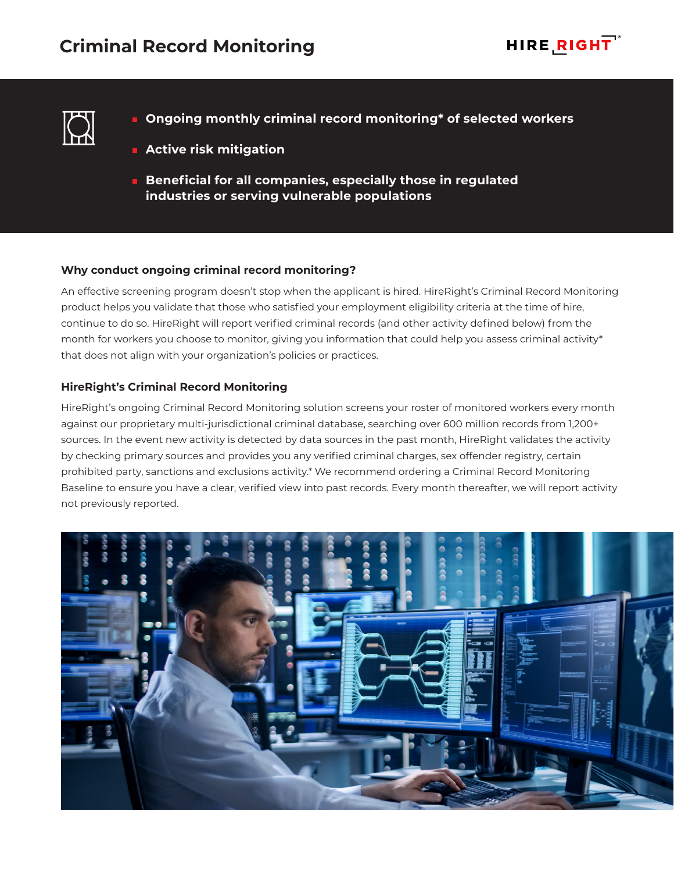



- **Ongoing monthly criminal record monitoring\* of selected workers**
- **Active risk mitigation**
- **Beneficial for all companies, especially those in regulated industries or serving vulnerable populations**

## **Why conduct ongoing criminal record monitoring?**

An effective screening program doesn't stop when the applicant is hired. HireRight's Criminal Record Monitoring product helps you validate that those who satisfied your employment eligibility criteria at the time of hire, continue to do so. HireRight will report verified criminal records (and other activity defined below) from the month for workers you choose to monitor, giving you information that could help you assess criminal activity\* that does not align with your organization's policies or practices.

## **HireRight's Criminal Record Monitoring**

HireRight's ongoing Criminal Record Monitoring solution screens your roster of monitored workers every month against our proprietary multi-jurisdictional criminal database, searching over 600 million records from 1,200+ sources. In the event new activity is detected by data sources in the past month, HireRight validates the activity by checking primary sources and provides you any verified criminal charges, sex offender registry, certain prohibited party, sanctions and exclusions activity.\* We recommend ordering a Criminal Record Monitoring Baseline to ensure you have a clear, verified view into past records. Every month thereafter, we will report activity not previously reported.